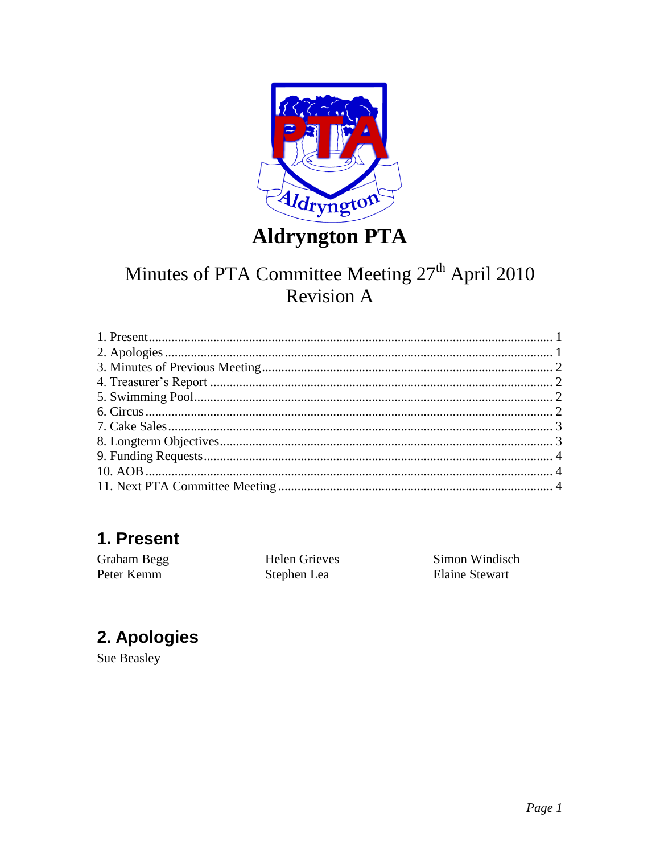

**Aldryngton PTA** 

# Minutes of PTA Committee Meeting 27<sup>th</sup> April 2010 **Revision A**

### <span id="page-0-0"></span>1. Present

Graham Begg Peter Kemm

**Helen Grieves** Stephen Lea

Simon Windisch **Elaine Stewart** 

## <span id="page-0-1"></span>2. Apologies

Sue Beasley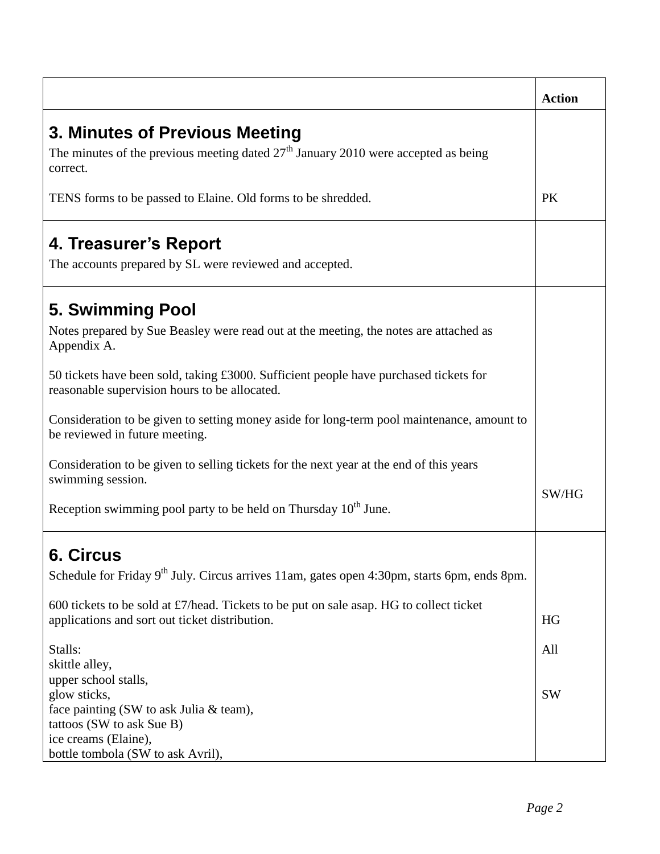<span id="page-1-3"></span><span id="page-1-2"></span><span id="page-1-1"></span><span id="page-1-0"></span>

|                                                                                                                                                       | <b>Action</b> |
|-------------------------------------------------------------------------------------------------------------------------------------------------------|---------------|
| 3. Minutes of Previous Meeting<br>The minutes of the previous meeting dated $27th$ January 2010 were accepted as being<br>correct.                    |               |
| TENS forms to be passed to Elaine. Old forms to be shredded.                                                                                          | <b>PK</b>     |
| 4. Treasurer's Report<br>The accounts prepared by SL were reviewed and accepted.                                                                      |               |
| 5. Swimming Pool<br>Notes prepared by Sue Beasley were read out at the meeting, the notes are attached as<br>Appendix A.                              |               |
| 50 tickets have been sold, taking £3000. Sufficient people have purchased tickets for<br>reasonable supervision hours to be allocated.                |               |
| Consideration to be given to setting money aside for long-term pool maintenance, amount to<br>be reviewed in future meeting.                          |               |
| Consideration to be given to selling tickets for the next year at the end of this years<br>swimming session.                                          |               |
| Reception swimming pool party to be held on Thursday 10 <sup>th</sup> June.                                                                           | SW/HG         |
| <b>6. Circus</b><br>Schedule for Friday 9 <sup>th</sup> July. Circus arrives 11am, gates open 4:30pm, starts 6pm, ends 8pm.                           |               |
| 600 tickets to be sold at $\frac{1}{2}$ /head. Tickets to be put on sale asap. HG to collect ticket<br>applications and sort out ticket distribution. | HG            |
| Stalls:<br>skittle alley,<br>upper school stalls,                                                                                                     | All           |
| glow sticks,<br>face painting (SW to ask Julia & team),<br>tattoos (SW to ask Sue B)<br>ice creams (Elaine),<br>bottle tombola (SW to ask Avril),     | <b>SW</b>     |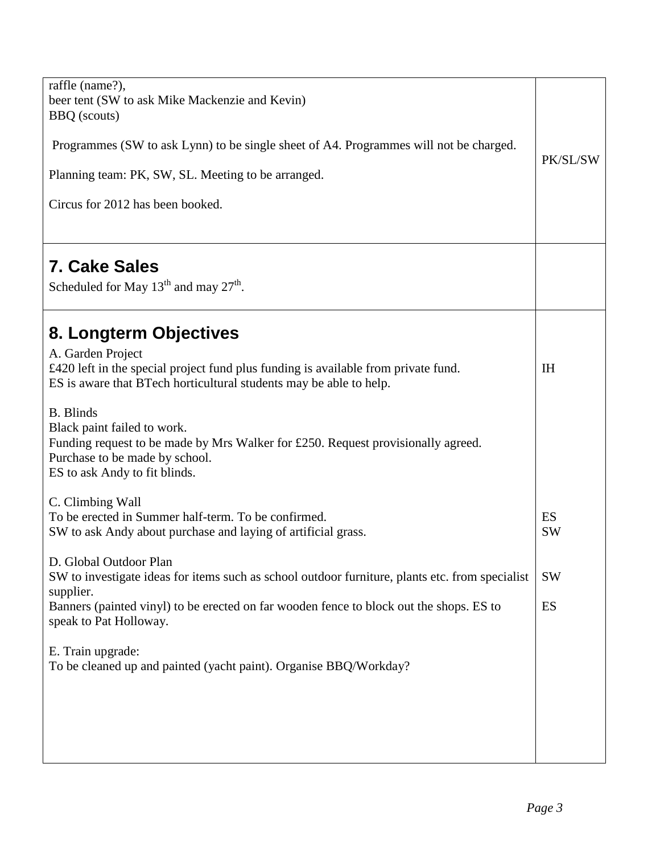<span id="page-2-1"></span><span id="page-2-0"></span>

| raffle (name?),<br>beer tent (SW to ask Mike Mackenzie and Kevin)<br><b>BBQ</b> (scouts)<br>Programmes (SW to ask Lynn) to be single sheet of A4. Programmes will not be charged.<br>Planning team: PK, SW, SL. Meeting to be arranged.<br>Circus for 2012 has been booked.                                                                                                                                       | PK/SL/SW        |
|-------------------------------------------------------------------------------------------------------------------------------------------------------------------------------------------------------------------------------------------------------------------------------------------------------------------------------------------------------------------------------------------------------------------|-----------------|
| <b>7. Cake Sales</b><br>Scheduled for May $13^{th}$ and may $27^{th}$ .                                                                                                                                                                                                                                                                                                                                           |                 |
| 8. Longterm Objectives<br>A. Garden Project<br>£420 left in the special project fund plus funding is available from private fund.<br>ES is aware that BTech horticultural students may be able to help.<br><b>B.</b> Blinds<br>Black paint failed to work.<br>Funding request to be made by Mrs Walker for £250. Request provisionally agreed.<br>Purchase to be made by school.<br>ES to ask Andy to fit blinds. | I <sub>H</sub>  |
| C. Climbing Wall<br>To be erected in Summer half-term. To be confirmed.<br>SW to ask Andy about purchase and laying of artificial grass.                                                                                                                                                                                                                                                                          | ES<br><b>SW</b> |
| D. Global Outdoor Plan<br>SW to investigate ideas for items such as school outdoor furniture, plants etc. from specialist<br>supplier.<br>Banners (painted vinyl) to be erected on far wooden fence to block out the shops. ES to<br>speak to Pat Holloway.                                                                                                                                                       | <b>SW</b><br>ES |
| E. Train upgrade:<br>To be cleaned up and painted (yacht paint). Organise BBQ/Workday?                                                                                                                                                                                                                                                                                                                            |                 |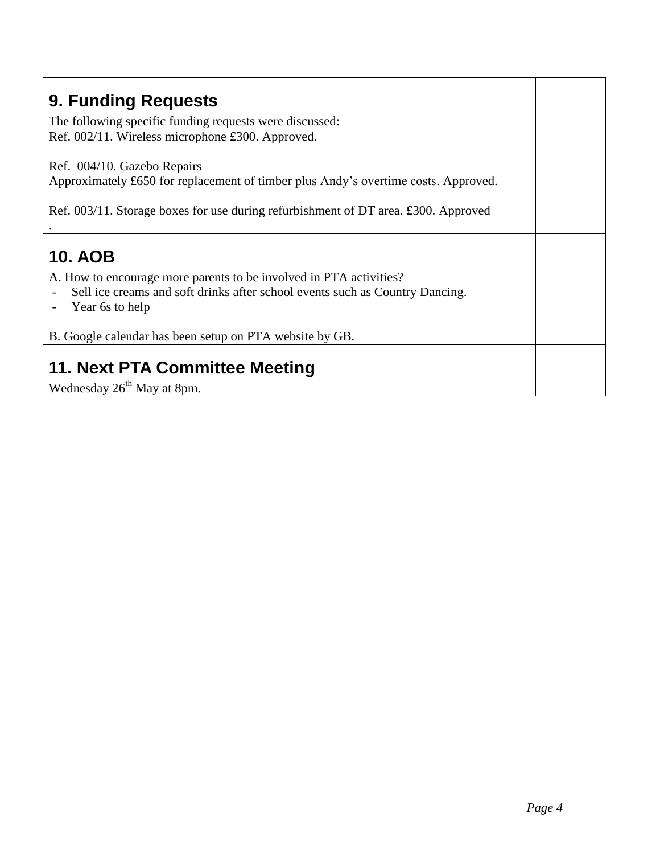<span id="page-3-2"></span><span id="page-3-1"></span><span id="page-3-0"></span>

| 9. Funding Requests<br>The following specific funding requests were discussed:<br>Ref. 002/11. Wireless microphone £300. Approved.                                                                                                                 |  |
|----------------------------------------------------------------------------------------------------------------------------------------------------------------------------------------------------------------------------------------------------|--|
| Ref. 004/10. Gazebo Repairs<br>Approximately £650 for replacement of timber plus Andy's overtime costs. Approved.<br>Ref. $003/11$ . Storage boxes for use during refurbishment of DT area. £300. Approved                                         |  |
| <b>10. AOB</b><br>A. How to encourage more parents to be involved in PTA activities?<br>Sell ice creams and soft drinks after school events such as Country Dancing.<br>Year 6s to help<br>B. Google calendar has been setup on PTA website by GB. |  |
| 11. Next PTA Committee Meeting<br>Wednesday 26 <sup>th</sup> May at 8pm.                                                                                                                                                                           |  |